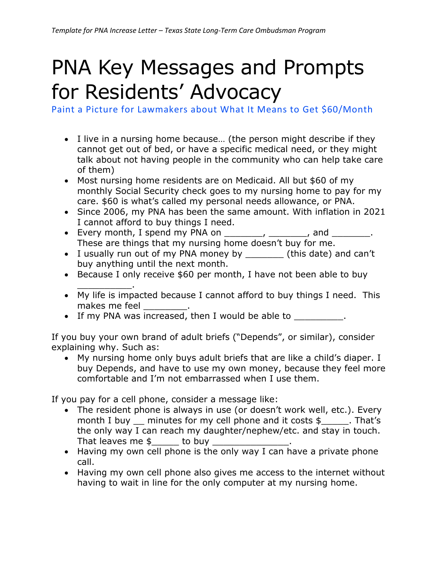## PNA Key Messages and Prompts for Residents' Advocacy

Paint a Picture for Lawmakers about What It Means to Get \$60/Month

- I live in a nursing home because… (the person might describe if they cannot get out of bed, or have a specific medical need, or they might talk about not having people in the community who can help take care of them)
- Most nursing home residents are on Medicaid. All but \$60 of my monthly Social Security check goes to my nursing home to pay for my care. \$60 is what's called my personal needs allowance, or PNA.
- Since 2006, my PNA has been the same amount. With inflation in 2021 I cannot afford to buy things I need.
- Every month, I spend my PNA on  $\frac{1}{\sqrt{2}}$ ,  $\frac{1}{\sqrt{2}}$ , and  $\frac{1}{\sqrt{2}}$ . These are things that my nursing home doesn't buy for me.
- I usually run out of my PNA money by \_\_\_\_\_\_\_ (this date) and can't buy anything until the next month.
- Because I only receive \$60 per month, I have not been able to buy \_\_\_\_\_\_\_\_\_\_.
- My life is impacted because I cannot afford to buy things I need. This makes me feel
- If my PNA was increased, then I would be able to  $\blacksquare$

If you buy your own brand of adult briefs ("Depends", or similar), consider explaining why. Such as:

• My nursing home only buys adult briefs that are like a child's diaper. I buy Depends, and have to use my own money, because they feel more comfortable and I'm not embarrassed when I use them.

If you pay for a cell phone, consider a message like:

- The resident phone is always in use (or doesn't work well, etc.). Every month I buy  $\equiv$  minutes for my cell phone and it costs  $\frac{1}{2}$ . That's the only way I can reach my daughter/nephew/etc. and stay in touch. That leaves me  $\frac{1}{2}$  to buy \_
- Having my own cell phone is the only way I can have a private phone call.
- Having my own cell phone also gives me access to the internet without having to wait in line for the only computer at my nursing home.